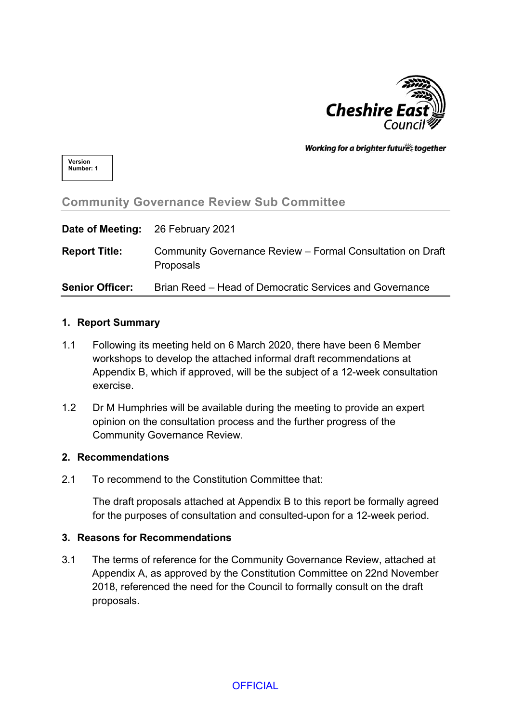

Working for a brighter futures together

**Version Number: 1**

# **Community Governance Review Sub Committee**

|                        | Date of Meeting: 26 February 2021                                       |
|------------------------|-------------------------------------------------------------------------|
| <b>Report Title:</b>   | Community Governance Review - Formal Consultation on Draft<br>Proposals |
| <b>Senior Officer:</b> | Brian Reed – Head of Democratic Services and Governance                 |

#### **1. Report Summary**

- 1.1 Following its meeting held on 6 March 2020, there have been 6 Member workshops to develop the attached informal draft recommendations at Appendix B, which if approved, will be the subject of a 12-week consultation exercise.
- 1.2 Dr M Humphries will be available during the meeting to provide an expert opinion on the consultation process and the further progress of the Community Governance Review.

## **2. Recommendations**

2.1 To recommend to the Constitution Committee that:

The draft proposals attached at Appendix B to this report be formally agreed for the purposes of consultation and consulted-upon for a 12-week period.

## **3. Reasons for Recommendations**

3.1 The terms of reference for the Community Governance Review, attached at Appendix A, as approved by the Constitution Committee on 22nd November 2018, referenced the need for the Council to formally consult on the draft proposals.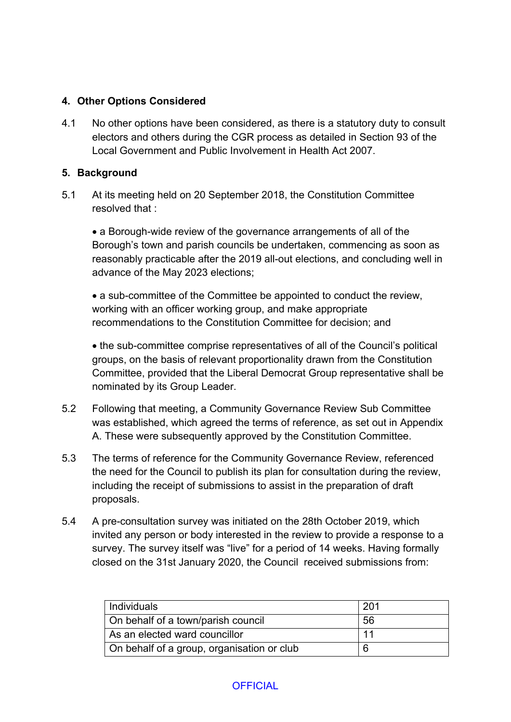## **4. Other Options Considered**

4.1 No other options have been considered, as there is a statutory duty to consult electors and others during the CGR process as detailed in Section 93 of the Local Government and Public Involvement in Health Act 2007.

## **5. Background**

5.1 At its meeting held on 20 September 2018, the Constitution Committee resolved that :

 a Borough-wide review of the governance arrangements of all of the Borough's town and parish councils be undertaken, commencing as soon as reasonably practicable after the 2019 all-out elections, and concluding well in advance of the May 2023 elections;

 a sub-committee of the Committee be appointed to conduct the review, working with an officer working group, and make appropriate recommendations to the Constitution Committee for decision; and

 the sub-committee comprise representatives of all of the Council's political groups, on the basis of relevant proportionality drawn from the Constitution Committee, provided that the Liberal Democrat Group representative shall be nominated by its Group Leader.

- 5.2 Following that meeting, a Community Governance Review Sub Committee was established, which agreed the terms of reference, as set out in Appendix A. These were subsequently approved by the Constitution Committee.
- 5.3 The terms of reference for the Community Governance Review, referenced the need for the Council to publish its plan for consultation during the review, including the receipt of submissions to assist in the preparation of draft proposals.
- 5.4 A pre-consultation survey was initiated on the 28th October 2019, which invited any person or body interested in the review to provide a response to a survey. The survey itself was "live" for a period of 14 weeks. Having formally closed on the 31st January 2020, the Council received submissions from:

| Individuals                                | 201 |
|--------------------------------------------|-----|
| On behalf of a town/parish council         | 56  |
| As an elected ward councillor              | -11 |
| On behalf of a group, organisation or club | 6   |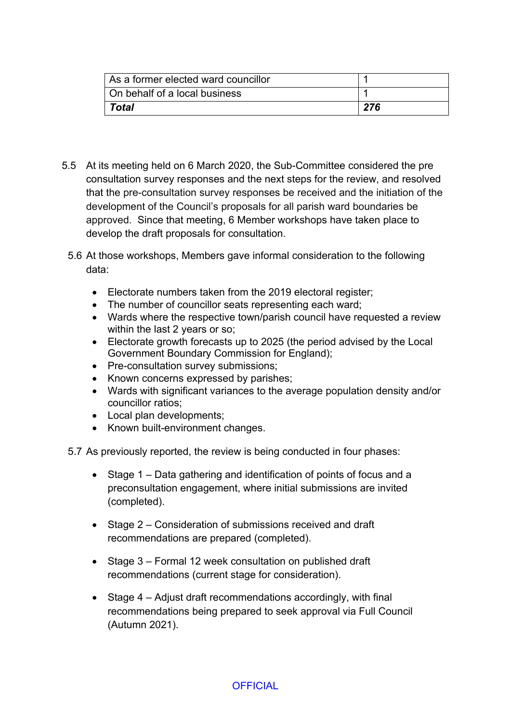| As a former elected ward councillor |     |
|-------------------------------------|-----|
| On behalf of a local business       |     |
| Total                               | 276 |

- 5.5 At its meeting held on 6 March 2020, the Sub-Committee considered the pre consultation survey responses and the next steps for the review, and resolved that the pre-consultation survey responses be received and the initiation of the development of the Council's proposals for all parish ward boundaries be approved. Since that meeting, 6 Member workshops have taken place to develop the draft proposals for consultation.
	- 5.6 At those workshops, Members gave informal consideration to the following data:
		- Electorate numbers taken from the 2019 electoral register;
		- The number of councillor seats representing each ward;
		- Wards where the respective town/parish council have requested a review within the last 2 years or so;
		- Electorate growth forecasts up to 2025 (the period advised by the Local Government Boundary Commission for England);
		- Pre-consultation survey submissions;
		- Known concerns expressed by parishes;
		- Wards with significant variances to the average population density and/or councillor ratios;
		- Local plan developments;
		- Known built-environment changes.
	- 5.7 As previously reported, the review is being conducted in four phases:
		- Stage 1 Data gathering and identification of points of focus and a preconsultation engagement, where initial submissions are invited (completed).
		- Stage 2 Consideration of submissions received and draft recommendations are prepared (completed).
		- Stage 3 Formal 12 week consultation on published draft recommendations (current stage for consideration).
		- Stage 4 Adjust draft recommendations accordingly, with final recommendations being prepared to seek approval via Full Council (Autumn 2021).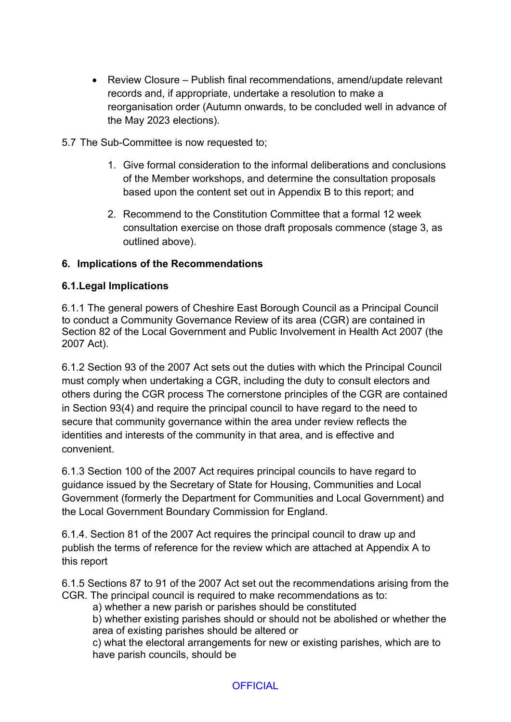- Review Closure Publish final recommendations, amend/update relevant records and, if appropriate, undertake a resolution to make a reorganisation order (Autumn onwards, to be concluded well in advance of the May 2023 elections).
- 5.7 The Sub-Committee is now requested to;
	- 1. Give formal consideration to the informal deliberations and conclusions of the Member workshops, and determine the consultation proposals based upon the content set out in Appendix B to this report; and
	- 2. Recommend to the Constitution Committee that a formal 12 week consultation exercise on those draft proposals commence (stage 3, as outlined above).

#### **6. Implications of the Recommendations**

#### **6.1.Legal Implications**

6.1.1 The general powers of Cheshire East Borough Council as a Principal Council to conduct a Community Governance Review of its area (CGR) are contained in Section 82 of the Local Government and Public Involvement in Health Act 2007 (the 2007 Act).

6.1.2 Section 93 of the 2007 Act sets out the duties with which the Principal Council must comply when undertaking a CGR, including the duty to consult electors and others during the CGR process The cornerstone principles of the CGR are contained in Section 93(4) and require the principal council to have regard to the need to secure that community governance within the area under review reflects the identities and interests of the community in that area, and is effective and convenient.

6.1.3 Section 100 of the 2007 Act requires principal councils to have regard to guidance issued by the Secretary of State for Housing, Communities and Local Government (formerly the Department for Communities and Local Government) and the Local Government Boundary Commission for England.

6.1.4. Section 81 of the 2007 Act requires the principal council to draw up and publish the terms of reference for the review which are attached at Appendix A to this report

6.1.5 Sections 87 to 91 of the 2007 Act set out the recommendations arising from the CGR. The principal council is required to make recommendations as to:

a) whether a new parish or parishes should be constituted

b) whether existing parishes should or should not be abolished or whether the area of existing parishes should be altered or

c) what the electoral arrangements for new or existing parishes, which are to have parish councils, should be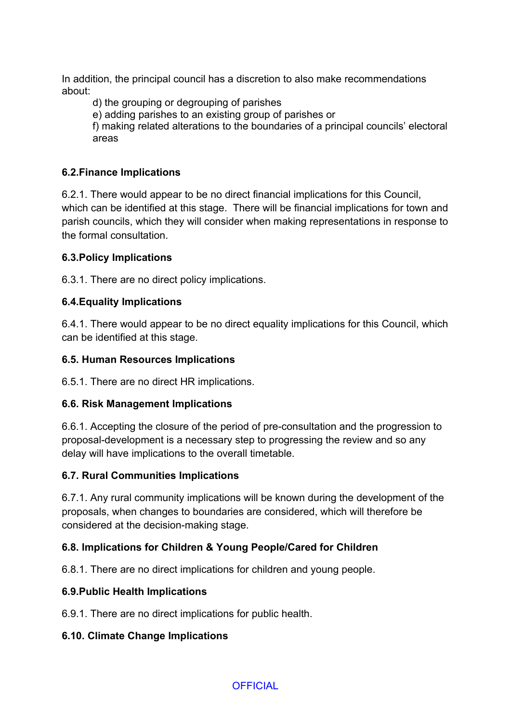In addition, the principal council has a discretion to also make recommendations about:

d) the grouping or degrouping of parishes

e) adding parishes to an existing group of parishes or

f) making related alterations to the boundaries of a principal councils' electoral areas

## **6.2.Finance Implications**

6.2.1. There would appear to be no direct financial implications for this Council, which can be identified at this stage. There will be financial implications for town and parish councils, which they will consider when making representations in response to the formal consultation.

## **6.3.Policy Implications**

6.3.1. There are no direct policy implications.

## **6.4.Equality Implications**

6.4.1. There would appear to be no direct equality implications for this Council, which can be identified at this stage.

## **6.5. Human Resources Implications**

6.5.1. There are no direct HR implications.

## **6.6. Risk Management Implications**

6.6.1. Accepting the closure of the period of pre-consultation and the progression to proposal-development is a necessary step to progressing the review and so any delay will have implications to the overall timetable.

## **6.7. Rural Communities Implications**

6.7.1. Any rural community implications will be known during the development of the proposals, when changes to boundaries are considered, which will therefore be considered at the decision-making stage.

## **6.8. Implications for Children & Young People/Cared for Children**

6.8.1. There are no direct implications for children and young people.

## **6.9.Public Health Implications**

6.9.1. There are no direct implications for public health.

## **6.10. Climate Change Implications**